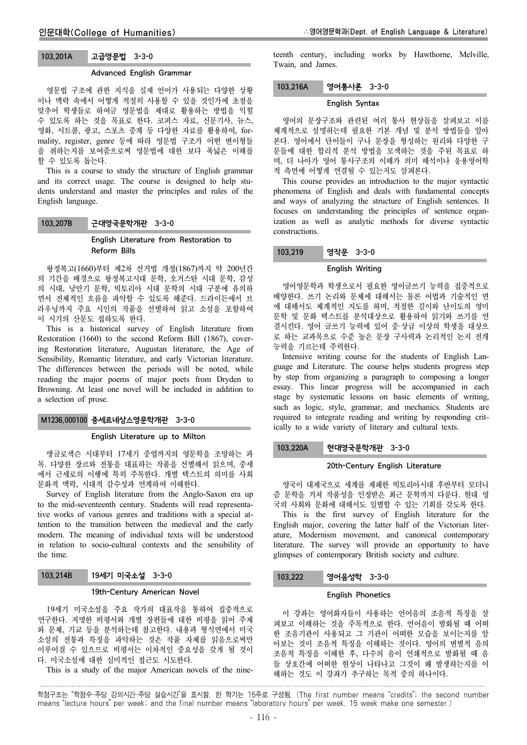# 103.201A 고급영문법 3-3-0

#### Advanced English Grammar

영문법 구조에 관한 지식을 실제 언어가 사용되는 다양한 상황 이나 맥락 속에서 어떻게 적절히 사용할 수 있을 것인가에 초점을 맞추어 학생들로 하여금 영문법을 제대로 활용하는 방법을 익힐 수 있도록 하는 것을 목표로 한다. 코퍼스 자료, 신문기사, 뉴스, 영화, 시트콤, 광고, 스포츠 중계 등 다양한 자료를 활용하여, formality, register, genre 등에 따라 영문법 구조가 어떤 변이형들 을 취하는지를 보여줌으로써 영문법에 대한 보다 폭넓은 이해를 할 수 있도록 돕는다.

This is a course to study the structure of English grammar and its correct usage. The course is designed to help students understand and master the principles and rules of the English language.

## 103.207B 근대영국문학개관 3-3-0

### English Literature from Restoration to Reform Bills

왕정복고(1660)부터 제2차 선거법 개정(1867)까지 약 200년간 의 기간을 배경으로 왕정복고시대 문학, 오거스탄 시대 문학, 감성 의 시대, 낭만기 문학, 빅토리아 시대 문학의 시대 구분에 유의하 면서 전체적인 흐름을 파악할 수 있도록 해준다. 드라이든에서 브 라우닝까지 주요 시인의 작품을 선별하여 읽고 소설을 포함하여 이 시기의 산문도 접하도록 한다.

This is a historical survey of English literature from Restoration (1660) to the second Reform Bill (1867), covering Restoration literature, Augustan literature, the Age of Sensibility, Romantic literature, and early Victorian literature. The differences between the periods will be noted, while reading the major poems of major poets from Dryden to Browning. At least one novel will be included in addition to a selection of prose.

## M1236.000100 중세르네상스영문학개관 3-3-0

#### English Literature up to Milton

앵글로색슨 시대부터 17세기 중엽까지의 영문학을 조망하는 과 목. 다양한 장르와 전통을 대표하는 작품을 선별해서 읽으며, 중세 에서 근세로의 이행에 특히 주목한다. 개별 텍스트의 의미를 사회 문화적 맥락, 시대적 감수성과 연계하여 이해한다.

Survey of English literature from the Anglo-Saxon era up to the mid-seventeenth century. Students will read representative works of various genres and traditions with a special attention to the transition between the medieval and the early modern. The meaning of individual texts will be understood in relation to socio-cultural contexts and the sensibility of the time.

## 103.214B 19세기 미국소설 3-3-0

#### 19th-Century American Novel

19세기 미국소설을 주요 작가의 대표작을 통하여 집중적으로 연구한다. 저명한 비평서와 개별 장편들에 대한 비평을 읽어 주제 와 문체, 기교 등을 분석하는데 참고한다. 내용과 형식면에서 미국 소설의 전통과 특징을 파악하는 것은 작품 자체를 읽음으로써만 이루어질 수 있으므로 비평서는 이차적인 중요성을 갖게 될 것이 다. 미국소설에 대한 심미적인 접근도 시도한다.

This is a study of the major American novels of the nine-

teenth century, including works by Hawthorne, Melville, Twain, and James.

### 103.216A 영어통사론 3-3-0

### English Syntax

영어의 문장구조와 관련된 여러 통사 현상들을 살펴보고 이를 체계적으로 설명하는데 필요한 기본 개념 및 분석 방법들을 알아 본다. 영어에서 단어들이 구나 문장을 형성하는 원리와 다양한 구 문들에 대한 합리적 분석 방법을 모색하는 것을 주된 목표로 하 며, 더 나아가 영어 통사구조의 이해가 의미 해석이나 응용영어학 적 측면에 어떻게 연결될 수 있는지도 살펴본다.

This course provides an introduction to the major syntactic phenomena of English and deals with fundamental concepts and ways of analyzing the structure of English sentences. It focuses on understanding the principles of sentence organization as well as analytic methods for diverse syntactic constructions.

# 103.219 영작문 3-3-0

## English Writing

영어영문학과 학생으로서 필요한 영어글쓰기 능력을 집중적으로 배양한다. 쓰기 논리와 문체에 대해서는 물론 어법과 기술적인 면 에 대해서도 체계적인 지도를 하며, 적절한 길이와 난이도의 영미 문학 및 문화 텍스트를 분석대상으로 활용하여 읽기와 쓰기를 연 결시킨다. 영어 글쓰기 능력에 있어 중·상급 이상의 학생을 대상으 로 하는 교과목으로 수준 높은 문장 구사력과 논리적인 논지 전개 능력을 기르는데 주력한다.

Intensive writing course for the students of English Language and Literature. The course helps students progress step by step from organizing a paragraph to composing a longer essay. This linear progress will be accompanied in each stage by systematic lessons on basic elements of writing, such as logic, style, grammar, and mechanics. Students are required to integrate reading and writing by responding critically to a wide variety of literary and cultural texts.

## 103.220A 현대영국문학개관 3-3-0

### 20th-Century English Literature

영국이 대제국으로 세계를 제패한 빅토리아시대 후반부터 모더니 즘 문학을 거쳐 작품성을 인정받은 최근 문학까지 다룬다. 현대 영 국의 사회와 문화에 대해서도 일별할 수 있는 기회를 갖도록 한다.

This is the first survey of English literature for the English major, covering the latter half of the Victorian literature, Modernism movement, and canonical contemporary literature. The survey will provide an opportunity to have glimpses of contemporary British society and culture.

### 103.222 영어음성학 3-3-0

#### English Phonetics

이 강좌는 영어화자들이 사용하는 언어음의 조음적 특징을 살 펴보고 이해하는 것을 주목적으로 한다. 언어음이 발화될 때 어떠 한 조음기관이 사용되고 그 기관이 어떠한 모습을 보이는지를 알 아보는 것이 조음적 특징을 이해하는 것이다. 영어의 변별적 음의 조음적 특징을 이해한 후, 다수의 음이 연쇄적으로 발화될 때 음 들 상호간에 어떠한 현상이 나타나고 그것이 왜 발생하는지를 이 해하는 것도 이 강좌가 추구하는 목적 중의 하나이다.

학점구조는 "학점수-주당 강의시간-주당 실습시간"을 표시함. 한 학기는 15주로 구성됨. (The first number means "credits"; the second number means "lecture hours" per week; and the final number means "laboratory hours" per week. 15 week make one semester.)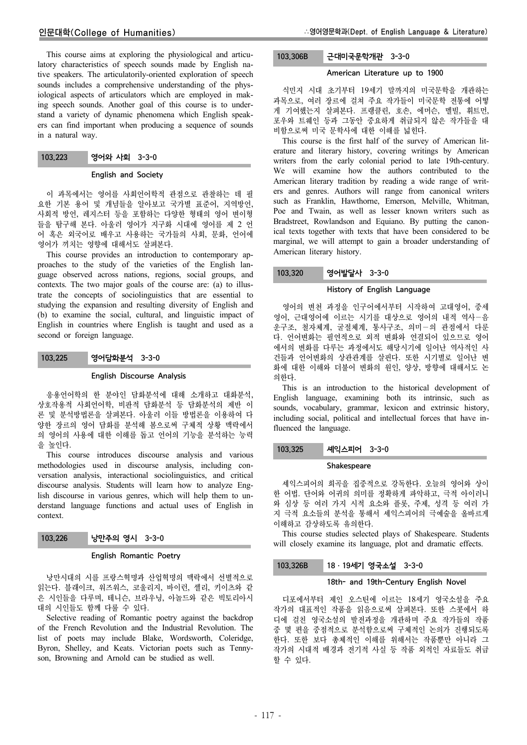This course aims at exploring the physiological and articulatory characteristics of speech sounds made by English native speakers. The articulatorily-oriented exploration of speech sounds includes a comprehensive understanding of the physiological aspects of articulators which are employed in making speech sounds. Another goal of this course is to understand a variety of dynamic phenomena which English speakers can find important when producing a sequence of sounds in a natural way.

## 103.223 영어와 사회 3-3-0

#### English and Society

이 과목에서는 영어를 사회언어학적 관점으로 관찰하는 데 필 요한 기본 용어 및 개념들을 알아보고 국가별 표준어, 지역방언, 사회적 방언, 레지스터 등을 포함하는 다양한 형태의 영어 변이형 들을 탐구해 본다. 아울러 영어가 지구화 시대에 영어를 제 2 언 어 혹은 외국어로 배우고 사용하는 국가들의 사회, 문화, 언어에 영어가 끼치는 영향에 대해서도 살펴본다.

This course provides an introduction to contemporary approaches to the study of the varieties of the English language observed across nations, regions, social groups, and contexts. The two major goals of the course are: (a) to illustrate the concepts of sociolinguistics that are essential to studying the expansion and resulting diversity of English and (b) to examine the social, cultural, and linguistic impact of English in countries where English is taught and used as a second or foreign language.

### 103.225 영어담화분석 3-3-0

#### English Discourse Analysis

응용언어학의 한 분야인 담화분석에 대해 소개하고 대화분석, 상호작용적 사회언어학, 비판적 담화분석 등 담화분석의 제반 이 론 및 분석방법론을 살펴본다. 아울러 이들 방법론을 이용하여 다 양한 장르의 영어 담화를 분석해 봄으로써 구체적 상황 맥락에서 의 영어의 사용에 대한 이해를 돕고 언어의 기능을 분석하는 능력 을 높인다.

This course introduces discourse analysis and various methodologies used in discourse analysis, including conversation analysis, interactional sociolinguistics, and critical discourse analysis. Students will learn how to analyze English discourse in various genres, which will help them to understand language functions and actual uses of English in context.

#### 103.226 낭만주의 영시 3-3-0

### English Romantic Poetry

낭만시대의 시를 프랑스혁명과 산업혁명의 맥락에서 선별적으로 읽는다. 블래이크, 워즈워스, 코울리지, 바이런, 셸리, 키이츠와 같 은 시인들을 다루며, 테니슨, 브라우닝, 아놀드와 같은 빅토리아시 대의 시인들도 함께 다룰 수 있다.

Selective reading of Romantic poetry against the backdrop of the French Revolution and the Industrial Revolution. The list of poets may include Blake, Wordsworth, Coleridge, Byron, Shelley, and Keats. Victorian poets such as Tennyson, Browning and Arnold can be studied as well.

## 103.306B 근대미국문학개관 3-3-0

### American Literature up to 1900

식민지 시대 초기부터 19세기 말까지의 미국문학을 개관하는 과목으로, 여러 장르에 걸쳐 주요 작가들이 미국문학 전통에 어떻 게 기여했는지 살펴본다. 프랭클린, 호손, 에머슨, 멜빌, 휘트먼, 포우와 트웨인 등과 그동안 중요하게 취급되지 않은 작가들을 대 비함으로써 미국 문학사에 대한 이해를 넓힌다.

This course is the first half of the survey of American literature and literary history, covering writings by American writers from the early colonial period to late 19th-century. We will examine how the authors contributed to the American literary tradition by reading a wide range of writers and genres. Authors will range from canonical writers such as Franklin, Hawthorne, Emerson, Melville, Whitman, Poe and Twain, as well as lesser known writers such as Bradstreet, Rowlandson and Equiano. By putting the canonical texts together with texts that have been considered to be marginal, we will attempt to gain a broader understanding of American literary history.

## 103.320 영어발달사 3-3-0

#### History of English Language

영어의 변천 과정을 인구어에서부터 시작하여 고대영어, 중세 영어, 근대영어에 이르는 시기를 대상으로 영어의 내적 역사-음 운구조, 철자체계, 굴절체계, 통사구조, 의미-의 관점에서 다룬 다. 언어변화는 필연적으로 외적 변화와 연결되어 있으므로 영어 에서의 변화를 다루는 과정에서도 해당시기에 일어난 역사적인 사 건들과 언어변화의 상관관계를 살핀다. 또한 시기별로 일어난 변 화에 대한 이해와 더불어 변화의 원인, 양상, 방향에 대해서도 논 의한다.

This is an introduction to the historical development of English language, examining both its intrinsic, such as sounds, vocabulary, grammar, lexicon and extrinsic history, including social, political and intellectual forces that have influenced the language.

### 103.325 셰익스피어 3-3-0

#### Shakespeare

셰익스피어의 희곡을 집중적으로 강독한다. 오늘의 영어와 상이 한 어법. 단어와 어귀의 의미를 정확하게 파악하고, 극적 아이러니 와 심상 등 여러 가지 시적 요소와 플롯, 주제, 성격 등 여러 가 지 극적 요소들의 분석을 통해서 셰익스피어의 극예술을 올바르게 이해하고 감상하도록 유의한다.

This course studies selected plays of Shakespeare. Students will closely examine its language, plot and dramatic effects.

### 103.326B 18ㆍ19세기 영국소설 3-3-0

### 18th- and 19th-Century English Novel

디포에서부터 제인 오스틴에 이르는 18세기 영국소설을 주요 작가의 대표적인 작품을 읽음으로써 살펴본다. 또한 스콧에서 하 디에 걸친 영국소설의 발전과정을 개관하며 주요 작가들의 작품 중 몇 편을 중점적으로 분석함으로써 구체적인 논의가 진행되도록 한다. 또한 보다 총체적인 이해를 위해서는 작품뿐만 아니라 그 작가의 시대적 배경과 전기적 사실 등 작품 외적인 자료들도 취급 할 수 있다.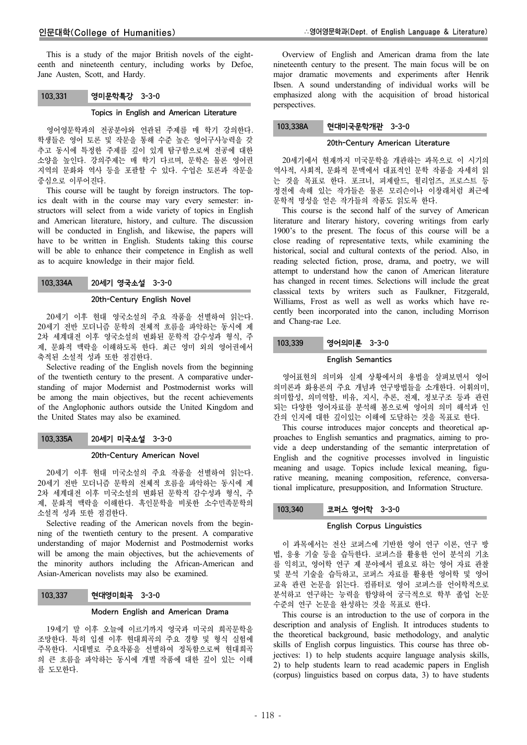This is a study of the major British novels of the eighteenth and nineteenth century, including works by Defoe, Jane Austen, Scott, and Hardy.

### 103.331 영미문학특강 3-3-0

#### Topics in English and American Literature

영어영문학과의 전공분야와 연관된 주제를 매 학기 강의한다. 학생들은 영어 토론 및 작문을 통해 수준 높은 영어구사능력을 갖 추고 동시에 특정한 주제를 깊이 있게 탐구함으로써 전공에 대한 소양을 높인다. 강의주제는 매 학기 다르며, 문학은 물론 영어권 지역의 문화와 역사 등을 포괄할 수 있다. 수업은 토론과 작문을 중심으로 이루어진다.

This course will be taught by foreign instructors. The topics dealt with in the course may vary every semester: instructors will select from a wide variety of topics in English and American literature, history, and culture. The discussion will be conducted in English, and likewise, the papers will have to be written in English. Students taking this course will be able to enhance their competence in English as well as to acquire knowledge in their major field.

### 103.334A 20세기 영국소설 3-3-0

## 20th-Century English Novel

20세기 이후 현대 영국소설의 주요 작품을 선별하여 읽는다. 20세기 전반 모더니즘 문학의 전체적 흐름을 파악하는 동시에 제 2차 세계대전 이후 영국소설의 변화된 문학적 감수성과 형식, 주 제, 문화적 맥락을 이해하도록 한다. 최근 영미 외의 영어권에서 축적된 소설적 성과 또한 점검한다.

Selective reading of the English novels from the beginning of the twentieth century to the present. A comparative understanding of major Modernist and Postmodernist works will be among the main objectives, but the recent achievements of the Anglophonic authors outside the United Kingdom and the United States may also be examined.

### 103.335A 20세기 미국소설 3-3-0

#### 20th-Century American Novel

20세기 이후 현대 미국소설의 주요 작품을 선별하여 읽는다. 20세기 전반 모더니즘 문학의 전체적 흐름을 파악하는 동시에 제 2차 세계대전 이후 미국소설의 변화된 문학적 감수성과 형식, 주 제, 문화적 맥락을 이해한다. 흑인문학을 비롯한 소수민족문학의 소설적 성과 또한 점검한다.

Selective reading of the American novels from the beginning of the twentieth century to the present. A comparative understanding of major Modernist and Postmodernist works will be among the main objectives, but the achievements of the minority authors including the African-American and Asian-American novelists may also be examined.

### 103.337 현대영미희곡 3-3-0

#### Modern English and American Drama

19세기 말 이후 오늘에 이르기까지 영국과 미국의 희곡문학을 조망한다. 특히 입센 이후 현대희곡의 주요 경향 및 형식 실험에 주목한다. 시대별로 주요작품을 선별하여 정독함으로써 현대희곡 의 큰 흐름을 파악하는 동시에 개별 작품에 대한 깊이 있는 이해 를 도모한다.

Overview of English and American drama from the late nineteenth century to the present. The main focus will be on major dramatic movements and experiments after Henrik Ibsen. A sound understanding of individual works will be emphasized along with the acquisition of broad historical perspectives.

#### 103.338A 현대미국문학개관 3-3-0

### 20th-Century American Literature

20세기에서 현재까지 미국문학을 개관하는 과목으로 이 시기의 역사적, 사회적, 문화적 문맥에서 대표적인 문학 작품을 자세히 읽 는 것을 목표로 한다. 포크너, 피제랄드, 윌리엄즈, 프로스트 등 정전에 속해 있는 작가들은 물론 모리슨이나 이창래처럼 최근에 문학적 명성을 얻은 작가들의 작품도 읽도록 한다.

This course is the second half of the survey of American literature and literary history, covering writings from early 1900's to the present. The focus of this course will be a close reading of representative texts, while examining the historical, social and cultural contexts of the period. Also, in reading selected fiction, prose, drama, and poetry, we will attempt to understand how the canon of American literature has changed in recent times. Selections will include the great classical texts by writers such as Faulkner, Fitzgerald, Williams, Frost as well as well as works which have recently been incorporated into the canon, including Morrison and Chang-rae Lee.

## 103.339 영어의미론 3-3-0

#### English Semantics

영어표현의 의미와 실제 상황에서의 용법을 살펴보면서 영어 의미론과 화용론의 주요 개념과 연구방법들을 소개한다. 어휘의미, 의미합성, 의미역할, 비유, 지시, 추론, 전제, 정보구조 등과 관련 되는 다양한 영어자료를 분석해 봄으로써 영어의 의미 해석과 인 간의 인지에 대한 깊이있는 이해에 도달하는 것을 목표로 한다.

This course introduces major concepts and theoretical approaches to English semantics and pragmatics, aiming to provide a deep understanding of the semantic interpretation of English and the cognitive processes involved in linguistic meaning and usage. Topics include lexical meaning, figurative meaning, meaning composition, reference, conversational implicature, presupposition, and Information Structure.

## 103.340 코퍼스 영어학 3-3-0

### English Corpus Linguistics

이 과목에서는 전산 코퍼스에 기반한 영어 연구 이론, 연구 방 법, 응용 기술 등을 습득한다. 코퍼스를 활용한 언어 분석의 기초 를 익히고, 영어학 연구 제 분야에서 필요로 하는 영어 자료 관찰 및 분석 기술을 습득하고, 코퍼스 자료를 활용한 영어학 및 영어 교육 관련 논문을 읽는다. 컴퓨터로 영어 코퍼스를 언어학적으로 분석하고 연구하는 능력을 함양하여 궁극적으로 학부 졸업 논문 수준의 연구 논문을 완성하는 것을 목표로 한다.

This course is an introduction to the use of corpora in the description and analysis of English. It introduces students to the theoretical background, basic methodology, and analytic skills of English corpus linguistics. This course has three objectives: 1) to help students acquire language analysis skills, 2) to help students learn to read academic papers in English (corpus) linguistics based on corpus data, 3) to have students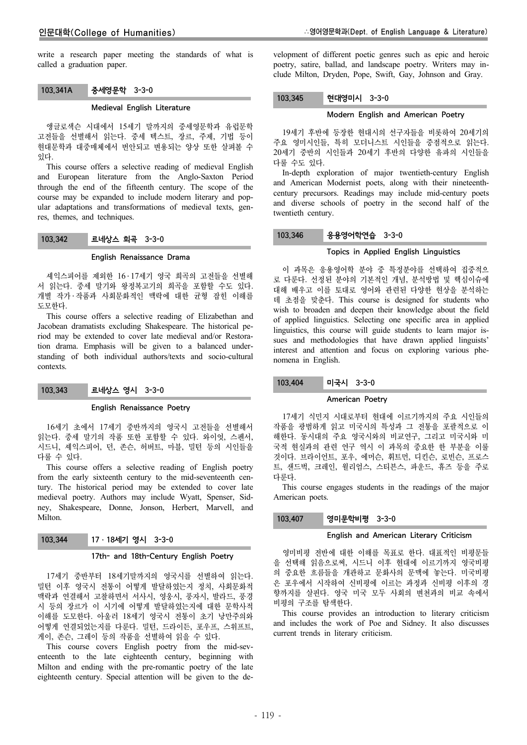write a research paper meeting the standards of what is called a graduation paper.

# 103.341A 중세영문학 3-3-0

### Medieval English Literature

앵글로색슨 시대에서 15세기 말까지의 중세영문학과 유럽문학 고전들을 선별해서 읽는다. 중세 텍스트, 장르, 주제, 기법 등이 현대문학과 대중매체에서 번안되고 변용되는 양상 또한 살펴볼 수 있다.

This course offers a selective reading of medieval English and European literature from the Anglo-Saxton Period through the end of the fifteenth century. The scope of the course may be expanded to include modern literary and popular adaptations and transformations of medieval texts, genres, themes, and techniques.

## 103.342 르네상스 희곡 3-3-0

#### English Renaissance Drama

셰익스피어를 제외한 16 ․ 17세기 영국 희곡의 고전들을 선별해 서 읽는다. 중세 말기와 왕정복고기의 희곡을 포함할 수도 있다. 개별 작가 ․ 작품과 사회문화적인 맥락에 대한 균형 잡힌 이해를 도모한다.

This course offers a selective reading of Elizabethan and Jacobean dramatists excluding Shakespeare. The historical period may be extended to cover late medieval and/or Restoration drama. Emphasis will be given to a balanced understanding of both individual authors/texts and socio-cultural contexts.

### 103.343 르네상스 영시 3-3-0

### English Renaissance Poetry

16세기 초에서 17세기 중반까지의 영국시 고전들을 선별해서 읽는다. 중세 말기의 작품 또한 포함할 수 있다. 와이엇, 스펜서, 시드니, 셰익스피어, 던, 존슨, 허버트, 마블, 밀턴 등의 시인들을 다룰 수 있다.

This course offers a selective reading of English poetry from the early sixteenth century to the mid-seventeenth century. The historical period may be extended to cover late medieval poetry. Authors may include Wyatt, Spenser, Sidney, Shakespeare, Donne, Jonson, Herbert, Marvell, and Milton.

### 103.344 17 · 18세기 영시 3-3-0

### 17th- and 18th-Century English Poetry

17세기 중반부터 18세기말까지의 영국시를 선별하여 읽는다. 밀턴 이후 영국시 전통이 어떻게 발달하였는지 정치, 사회문화적 맥락과 연결해서 고찰하면서 서사시, 영웅시, 풍자시, 발라드, 풍경 시 등의 장르가 이 시기에 어떻게 발달하였는지에 대한 문학사적 이해를 도모한다. 아울러 18세기 영국시 전통이 초기 낭만주의와 어떻게 연결되었는지를 다룬다. 밀턴, 드라이든, 포우프, 스위프트, 게이, 존슨, 그레이 등의 작품을 선별하여 읽을 수 있다.

This course covers English poetry from the mid-seventeenth to the late eighteenth century, beginning with Milton and ending with the pre-romantic poetry of the late eighteenth century. Special attention will be given to the development of different poetic genres such as epic and heroic poetry, satire, ballad, and landscape poetry. Writers may include Milton, Dryden, Pope, Swift, Gay, Johnson and Gray.

### 103.345 현대영미시 3-3-0

### Modern English and American Poetry

19세기 후반에 등장한 현대시의 선구자들을 비롯하여 20세기의 주요 영미시인들, 특히 모더니스트 시인들을 중점적으로 읽는다. 20세기 중반의 시인들과 20세기 후반의 다양한 유파의 시인들을 다룰 수도 있다.

In-depth exploration of major twentieth-century English and American Modernist poets, along with their nineteenthcentury precursors. Readings may include mid-century poets and diverse schools of poetry in the second half of the twentieth century.

### 103.346 응용영어학연습 3-3-0

### Topics in Applied English Linguistics

이 과목은 응용영어학 분야 중 특정분야를 선택하여 집중적으 로 다룬다. 선정된 분야의 기본적인 개념, 분석방법 및 핵심이슈에 대해 배우고 이를 토대로 영어와 관련된 다양한 현상을 분석하는 데 초점을 맞춘다. This course is designed for students who wish to broaden and deepen their knowledge about the field of applied linguistics. Selecting one specific area in applied linguistics, this course will guide students to learn major issues and methodologies that have drawn applied linguists' interest and attention and focus on exploring various phenomena in English.

### 103.404 미국시 3-3-0

#### American Poetry

17세기 식민지 시대로부터 현대에 이르기까지의 주요 시인들의 작품을 광범하게 읽고 미국시의 특성과 그 전통을 포괄적으로 이 해한다. 동시대의 주요 영국시와의 비교연구, 그리고 미국시와 미 국적 현실과의 관련 연구 역시 이 과목의 중요한 한 부분을 이룰 것이다. 브라이언트, 포우, 에머슨, 휘트먼, 디킨슨, 로빈슨, 프로스 트, 샌드벅, 크레인, 윌리엄스, 스티븐스, 파운드, 휴즈 등을 주로 다룬다.

This course engages students in the readings of the major American poets.

### 103.407 영미문학비평 3-3-0

#### English and American Literary Criticism

영미비평 전반에 대한 이해를 목표로 한다. 대표적인 비평문들 을 선택해 읽음으로써, 시드니 이후 현대에 이르기까지 영국비평 의 중요한 흐름들을 개관하고 문화사의 문맥에 놓는다. 미국비평 은 포우에서 시작하여 신비평에 이르는 과정과 신비평 이후의 경 향까지를 살핀다. 영국 미국 모두 사회의 변천과의 비교 속에서 비평의 구조를 탐색한다.

This course provides an introduction to literary criticism and includes the work of Poe and Sidney. It also discusses current trends in literary criticism.